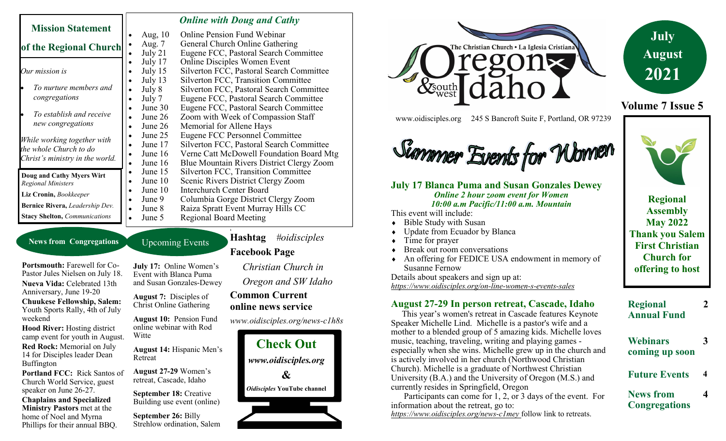| <b>Mission Statement</b>                                                                 |                      | <b>Online with Doug and Cathy</b>          |
|------------------------------------------------------------------------------------------|----------------------|--------------------------------------------|
|                                                                                          | Aug, $10$            | <b>Online Pension Fund Webinar</b>         |
| of the Regional Church                                                                   | Aug. 7               | General Church Online Gathering            |
|                                                                                          | July $21$            | Eugene FCC, Pastoral Search Committee      |
| Our mission is                                                                           | July 17              | <b>Online Disciples Women Event</b>        |
|                                                                                          | July 15              | Silverton FCC, Pastoral Search Committee   |
|                                                                                          | July 13              | <b>Silverton FCC, Transition Committee</b> |
| To nurture members and                                                                   | July 8               | Silverton FCC, Pastoral Search Committee   |
| congregations                                                                            | July 7<br>$\bullet$  | Eugene FCC, Pastoral Search Committee      |
| To establish and receive<br>new congregations                                            | June 30              | Eugene FCC, Pastoral Search Committee      |
|                                                                                          | June 26              | Zoom with Week of Compassion Staff         |
|                                                                                          | June 26              | Memorial for Allene Hays                   |
| While working together with<br>the whole Church to do<br>Christ's ministry in the world. | June 25              | Eugene FCC Personnel Committee             |
|                                                                                          | June 17              | Silverton FCC, Pastoral Search Committee   |
|                                                                                          | June 16<br>$\bullet$ | Verne Catt McDowell Foundation Board Mtg   |
|                                                                                          | June 16              | Blue Mountain Rivers District Clergy Zoom  |
| Doug and Cathy Myers Wirt<br><b>Regional Ministers</b>                                   | June 15<br>٠         | <b>Silverton FCC, Transition Committee</b> |
|                                                                                          | June 10<br>$\bullet$ | Scenic Rivers District Clergy Zoom         |
| Liz Cronin, Bookkeeper                                                                   | June 10              | <b>Interchurch Center Board</b>            |
|                                                                                          | June 9               | Columbia Gorge District Clergy Zoom        |
| Bernice Rivera, Leadership Dev.                                                          | June 8<br>$\bullet$  | Raiza Spratt Event Murray Hills CC         |
| <b>Stacy Shelton, Communications</b>                                                     | June 5               | <b>Regional Board Meeting</b>              |

#### **News from Congregations**

**Portsmouth:** Farewell for Co-Pastor Jules Nielsen on July 18. **Nueva Vida:** Celebrated 13th Anniversary, June 19-20 **Chuukese Fellowship, Salem:**  Youth Sports Rally, 4th of July weekend

**Hood River:** Hosting district camp event for youth in August.

**Red Rock:** Memorial on July 14 for Disciples leader Dean Buffington

**Portland FCC:** Rick Santos of Church World Service, guest speaker on June 26-27.

**Chaplains and Specialized Ministry Pastors** met at the home of Noel and Myrna Phillips for their annual BBQ.

**July 17:** Online Women's Event with Blanca Puma and Susan Gonzales-Dewey

**August 7:** Disciples of Christ Online Gathering

Upcoming Events

**August 10:** Pension Fund online webinar with Rod Witte

**August 14:** Hispanic Men's Retreat

**August 27-29** Women's retreat, Cascade, Idaho

**September 18: Creative** Building use event (online)

**September 26:** Billy Strehlow ordination, Salem **Hashtag** *#oidisciples*

### **Facebook Page**

**1**

*Christian Church in Oregon and SW Idaho*

#### **Common Current online news service**

*www.oidisciples.org/news-c1h8s*





www.oidisciples.org 245 S Bancroft Suite F, Portland, OR 97239

Summer Events for Women

**July 17 Blanca Puma and Susan Gonzales Dewey** *Online 2 hour zoom event for Women 10:00 a.m Pacific/11:00 a.m. Mountain*



**Volume 7 Issue 5**

**Regional Assembly May 2022 Thank you Salem First Christian Church for offering to host** 

Susanne Fernow Details about speakers and sign up at: *https://www.oidisciples.org/on-line-women-s-events-sales*

This event will include:

Time for prayer

 Bible Study with Susan Update from Ecuador by Blanca

Break out room conversations

### **August 27-29 In person retreat, Cascade, Idaho**

An offering for FEDICE USA endowment in memory of

 This year's women's retreat in Cascade features Keynote Speaker Michelle Lind. Michelle is a pastor's wife and a mother to a blended group of 5 amazing kids. Michelle loves music, teaching, traveling, writing and playing games especially when she wins. Michelle grew up in the church and is actively involved in her church (Northwood Christian Church). Michelle is a graduate of Northwest Christian University (B.A.) and the University of Oregon (M.S.) and currently resides in Springfield, Oregon

 Participants can come for 1, 2, or 3 days of the event. For information about the retreat, go to: *https://www.oidisciples.org/news-c1mey* follow link to retreats.



**4**

**Webinars coming up soon 3**

**Regional** 

**Future Events** 

**News from Congregations**